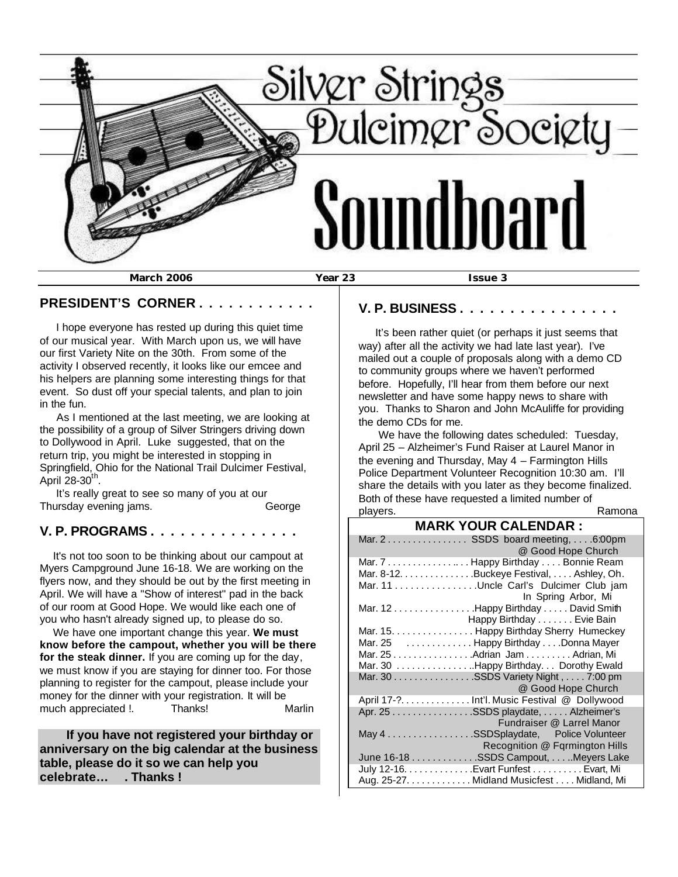

#### **PRESIDENT'S CORNER . . . . . . . . . . . .**

 I hope everyone has rested up during this quiet time of our musical year. With March upon us, we will have our first Variety Nite on the 30th. From some of the activity I observed recently, it looks like our emcee and his helpers are planning some interesting things for that event. So dust off your special talents, and plan to join in the fun.

 As I mentioned at the last meeting, we are looking at the possibility of a group of Silver Stringers driving down to Dollywood in April. Luke suggested, that on the return trip, you might be interested in stopping in Springfield, Ohio for the National Trail Dulcimer Festival, April 28-30 $th$ .

 It's really great to see so many of you at our Thursday evening jams. George

## **V. P. PROGRAMS . . . . . . . . . . . . . . .**

 It's not too soon to be thinking about our campout at Myers Campground June 16-18. We are working on the flyers now, and they should be out by the first meeting in April. We will have a "Show of interest" pad in the back of our room at Good Hope. We would like each one of you who hasn't already signed up, to please do so.

 We have one important change this year. **We must know before the campout, whether you will be there for the steak dinner.** If you are coming up for the day, we must know if you are staying for dinner too. For those planning to register for the campout, please include your money for the dinner with your registration. It will be much appreciated !. Thanks! Marlin

 **If you have not registered your birthday or anniversary on the big calendar at the business table, please do it so we can help you celebrate… . Thanks !**

#### **V. P. BUSINESS . . . . . . . . . . . . . . . .**

 It's been rather quiet (or perhaps it just seems that way) after all the activity we had late last year). I've mailed out a couple of proposals along with a demo CD to community groups where we haven't performed before. Hopefully, I'll hear from them before our next newsletter and have some happy news to share with you. Thanks to Sharon and John McAuliffe for providing the demo CDs for me.

 We have the following dates scheduled: Tuesday, April 25 – Alzheimer's Fund Raiser at Laurel Manor in the evening and Thursday, May 4 – Farmington Hills Police Department Volunteer Recognition 10:30 am. I'll share the details with you later as they become finalized. Both of these have requested a limited number of players. The contract of the contract of the Ramona

#### **MARK YOUR CALENDAR :**

| Mar. 2 SSDS board meeting,  .6:00pm<br>@ Good Hope Church<br>Mar. 7  Happy Birthday  Bonnie Ream<br>Mar. 8-12. Buckeye Festival, Ashley, Oh.<br>Mar. 11 Uncle Carl's Dulcimer Club jam<br>In Spring Arbor, Mi<br>Mar. 12 Happy Birthday David Smith<br>Happy Birthday Evie Bain<br>Mar. 15. Happy Birthday Sherry Humeckey<br>Mar. 25 Happy Birthday Donna Mayer<br>Mar. 25 Adrian Jam Adrian, Mi<br>Mar. 30 Happy Birthday. Dorothy Ewald<br>Mar. 30 SSDS Variety Night , 7:00 pm<br>@ Good Hope Church<br>April 17-? Int'l. Music Festival @ Dollywood<br>Apr. 25 SSDS playdate, Alzheimer's<br>Fundraiser @ Larrel Manor<br>May 4 SSDSplaydate, Police Volunteer<br>Recognition @ Fgrmington Hills<br>June 16-18 SSDS Campout, Meyers Lake<br>July 12-16. Evart Funfest Evart, Mi<br>Aug. 25-27. Midland Musicfest Midland, Mi |  |
|-----------------------------------------------------------------------------------------------------------------------------------------------------------------------------------------------------------------------------------------------------------------------------------------------------------------------------------------------------------------------------------------------------------------------------------------------------------------------------------------------------------------------------------------------------------------------------------------------------------------------------------------------------------------------------------------------------------------------------------------------------------------------------------------------------------------------------------|--|
|                                                                                                                                                                                                                                                                                                                                                                                                                                                                                                                                                                                                                                                                                                                                                                                                                                   |  |
|                                                                                                                                                                                                                                                                                                                                                                                                                                                                                                                                                                                                                                                                                                                                                                                                                                   |  |
|                                                                                                                                                                                                                                                                                                                                                                                                                                                                                                                                                                                                                                                                                                                                                                                                                                   |  |
|                                                                                                                                                                                                                                                                                                                                                                                                                                                                                                                                                                                                                                                                                                                                                                                                                                   |  |
|                                                                                                                                                                                                                                                                                                                                                                                                                                                                                                                                                                                                                                                                                                                                                                                                                                   |  |
|                                                                                                                                                                                                                                                                                                                                                                                                                                                                                                                                                                                                                                                                                                                                                                                                                                   |  |
|                                                                                                                                                                                                                                                                                                                                                                                                                                                                                                                                                                                                                                                                                                                                                                                                                                   |  |
|                                                                                                                                                                                                                                                                                                                                                                                                                                                                                                                                                                                                                                                                                                                                                                                                                                   |  |
|                                                                                                                                                                                                                                                                                                                                                                                                                                                                                                                                                                                                                                                                                                                                                                                                                                   |  |
|                                                                                                                                                                                                                                                                                                                                                                                                                                                                                                                                                                                                                                                                                                                                                                                                                                   |  |
|                                                                                                                                                                                                                                                                                                                                                                                                                                                                                                                                                                                                                                                                                                                                                                                                                                   |  |
|                                                                                                                                                                                                                                                                                                                                                                                                                                                                                                                                                                                                                                                                                                                                                                                                                                   |  |
|                                                                                                                                                                                                                                                                                                                                                                                                                                                                                                                                                                                                                                                                                                                                                                                                                                   |  |
|                                                                                                                                                                                                                                                                                                                                                                                                                                                                                                                                                                                                                                                                                                                                                                                                                                   |  |
|                                                                                                                                                                                                                                                                                                                                                                                                                                                                                                                                                                                                                                                                                                                                                                                                                                   |  |
|                                                                                                                                                                                                                                                                                                                                                                                                                                                                                                                                                                                                                                                                                                                                                                                                                                   |  |
|                                                                                                                                                                                                                                                                                                                                                                                                                                                                                                                                                                                                                                                                                                                                                                                                                                   |  |
|                                                                                                                                                                                                                                                                                                                                                                                                                                                                                                                                                                                                                                                                                                                                                                                                                                   |  |
|                                                                                                                                                                                                                                                                                                                                                                                                                                                                                                                                                                                                                                                                                                                                                                                                                                   |  |
|                                                                                                                                                                                                                                                                                                                                                                                                                                                                                                                                                                                                                                                                                                                                                                                                                                   |  |
|                                                                                                                                                                                                                                                                                                                                                                                                                                                                                                                                                                                                                                                                                                                                                                                                                                   |  |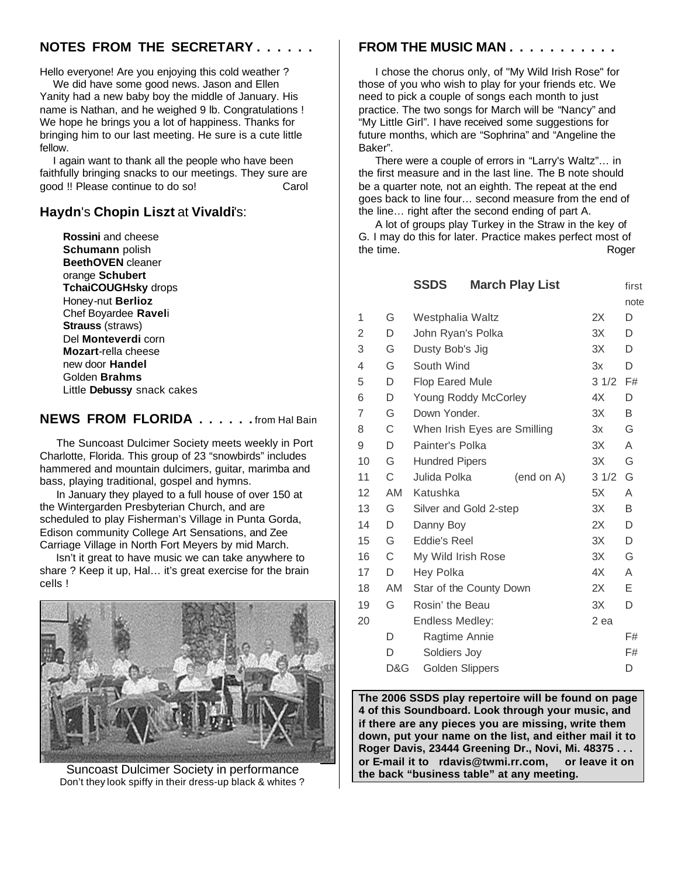# **NOTES FROM THE SECRETARY . . . . . .**

Hello everyone! Are you enjoying this cold weather ?

 We did have some good news. Jason and Ellen Yanity had a new baby boy the middle of January. His name is Nathan, and he weighed 9 lb. Congratulations ! We hope he brings you a lot of happiness. Thanks for bringing him to our last meeting. He sure is a cute little fellow.

 I again want to thank all the people who have been faithfully bringing snacks to our meetings. They sure are good !! Please continue to do so! Carol

## **Haydn**'s **Chopin Liszt** at **Vivaldi**'s:

 **Rossini** and cheese  **Schumann** polish  **BeethOVEN** cleaner orange **Schubert TchaiCOUGHsky** drops Honey-nut **Berlioz** Chef Boyardee **Ravel**i  **Strauss** (straws) Del **Monteverdi** corn  **Mozart**-rella cheese new door **Handel** Golden **Brahms** Little **Debussy** snack cakes

## **NEWS FROM FLORIDA . . . . . .** from Hal Bain

 The Suncoast Dulcimer Society meets weekly in Port Charlotte, Florida. This group of 23 "snowbirds" includes hammered and mountain dulcimers, guitar, marimba and bass, playing traditional, gospel and hymns.

 In January they played to a full house of over 150 at the Wintergarden Presbyterian Church, and are scheduled to play Fisherman's Village in Punta Gorda, Edison community College Art Sensations, and Zee Carriage Village in North Fort Meyers by mid March.

 Isn't it great to have music we can take anywhere to share ? Keep it up, Hal… it's great exercise for the brain cells !



 Suncoast Dulcimer Society in performance Don't they look spiffy in their dress-up black & whites ?

### **FROM THE MUSIC MAN . . . . . . . . . . .**

 I chose the chorus only, of "My Wild Irish Rose" for those of you who wish to play for your friends etc. We need to pick a couple of songs each month to just practice. The two songs for March will be "Nancy" and "My Little Girl". I have received some suggestions for future months, which are "Sophrina" and "Angeline the Baker".

 There were a couple of errors in "Larry's Waltz"… in the first measure and in the last line. The B note should be a quarter note, not an eighth. The repeat at the end goes back to line four… second measure from the end of the line… right after the second ending of part A.

 A lot of groups play Turkey in the Straw in the key of G. I may do this for later. Practice makes perfect most of the time. Roger

|    |           | <b>SSDS</b>                  |                        | <b>March Play List</b> |      | first |
|----|-----------|------------------------------|------------------------|------------------------|------|-------|
|    |           |                              |                        |                        |      | note  |
| 1  | G         | Westphalia Waltz             |                        | 2X                     | D    |       |
| 2  | D         | 3X<br>John Ryan's Polka      |                        | D                      |      |       |
| 3  | G         | Dusty Bob's Jig              |                        |                        | 3X   | D     |
| 4  | G         | South Wind                   |                        | 3x                     | D    |       |
| 5  | D         | <b>Flop Eared Mule</b>       |                        |                        | 31/2 | F#    |
| 6  | D         |                              | Young Roddy McCorley   |                        | 4X   | D     |
| 7  | G         | Down Yonder.                 |                        | 3X                     | B    |       |
| 8  | С         | When Irish Eyes are Smilling |                        |                        | 3x   | G     |
| 9  | D         | Painter's Polka              |                        |                        | 3X   | A     |
| 10 | G         | <b>Hundred Pipers</b>        |                        |                        | 3X   | G     |
| 11 | С         | Julida Polka                 |                        | (end on A)             | 31/2 | G     |
| 12 | <b>AM</b> | Katushka                     |                        |                        | 5X   | A     |
| 13 | G         | Silver and Gold 2-step       |                        | ЗX                     | B    |       |
| 14 | D         | 2X<br>Danny Boy              |                        |                        |      | D     |
| 15 | G         | Eddie's Reel<br>3X           |                        |                        | D    |       |
| 16 | C         | My Wild Irish Rose           |                        |                        | 3X   | G     |
| 17 | D         | Hey Polka                    |                        |                        | 4X   | A     |
| 18 | AM        | Star of the County Down      |                        | 2X                     | Е    |       |
| 19 | G         | Rosin' the Beau              |                        | 3X                     | D    |       |
| 20 |           | Endless Medley:              |                        |                        | 2 ea |       |
|    | D         |                              | Ragtime Annie          |                        |      | F#    |
|    | D         | Soldiers Joy                 |                        |                        |      | F#    |
|    | D&G       |                              | <b>Golden Slippers</b> |                        |      | D     |

**The 2006 SSDS play repertoire will be found on page 4 of this Soundboard. Look through your music, and if there are any pieces you are missing, write them down, put your name on the list, and either mail it to Roger Davis, 23444 Greening Dr., Novi, Mi. 48375 . . . or E-mail it to rdavis@twmi.rr.com, or leave it on the back "business table" at any meeting.**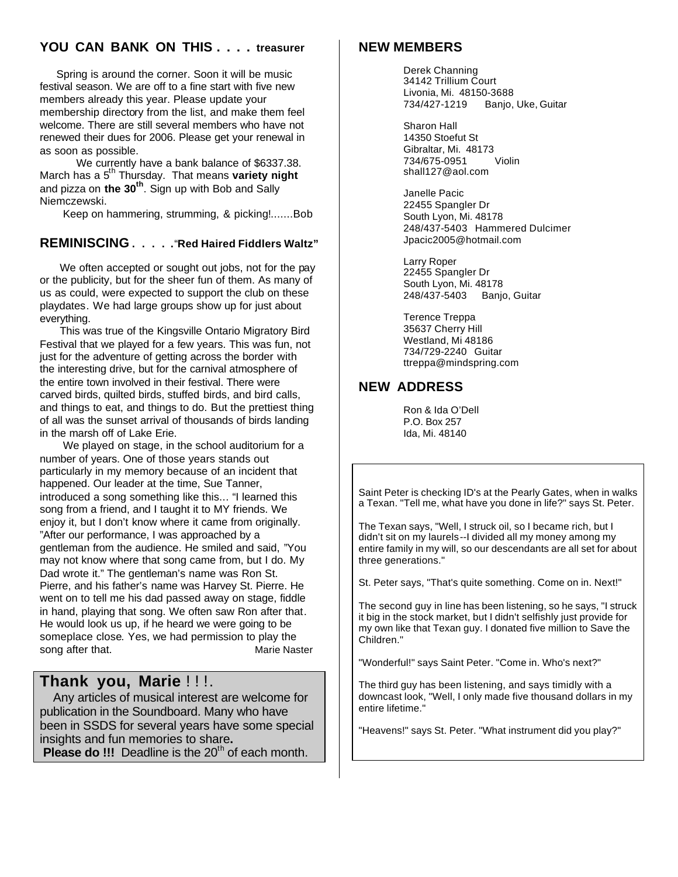## **YOU CAN BANK ON THIS . . . . treasurer**

 Spring is around the corner. Soon it will be music festival season. We are off to a fine start with five new members already this year. Please update your membership directory from the list, and make them feel welcome. There are still several members who have not renewed their dues for 2006. Please get your renewal in as soon as possible.

 We currently have a bank balance of \$6337.38. March has a 5<sup>th</sup> Thursday. That means variety night and pizza on **the 30th**. Sign up with Bob and Sally Niemczewski.

Keep on hammering, strumming, & picking!.......Bob

#### **REMINISCING . . . . .**"**Red Haired Fiddlers Waltz"**

 We often accepted or sought out jobs, not for the pay or the publicity, but for the sheer fun of them. As many of us as could, were expected to support the club on these playdates. We had large groups show up for just about everything.

 This was true of the Kingsville Ontario Migratory Bird Festival that we played for a few years. This was fun, not just for the adventure of getting across the border with the interesting drive, but for the carnival atmosphere of the entire town involved in their festival. There were carved birds, quilted birds, stuffed birds, and bird calls, and things to eat, and things to do. But the prettiest thing of all was the sunset arrival of thousands of birds landing in the marsh off of Lake Erie.

 We played on stage, in the school auditorium for a number of years. One of those years stands out particularly in my memory because of an incident that happened. Our leader at the time, Sue Tanner, introduced a song something like this... "I learned this song from a friend, and I taught it to MY friends. We enjoy it, but I don't know where it came from originally. "After our performance, I was approached by a gentleman from the audience. He smiled and said, "You may not know where that song came from, but I do. My Dad wrote it." The gentleman's name was Ron St. Pierre, and his father's name was Harvey St. Pierre. He went on to tell me his dad passed away on stage, fiddle in hand, playing that song. We often saw Ron after that. He would look us up, if he heard we were going to be someplace close. Yes, we had permission to play the song after that. Marie Naster

# Thank you, Marie !!!.

 Any articles of musical interest are welcome for publication in the Soundboard. Many who have been in SSDS for several years have some special insights and fun memories to share**. Please do !!!** Deadline is the 20<sup>th</sup> of each month.

#### **NEW MEMBERS**

 Derek Channing 34142 Trillium Court Livonia, Mi. 48150-3688 734/427-1219 Banjo, Uke, Guitar

 Sharon Hall 14350 Stoefut St Gibraltar, Mi. 48173 734/675-0951 Violin shall127@aol.com

 Janelle Pacic 22455 Spangler Dr South Lyon, Mi. 48178 248/437-5403 Hammered Dulcimer Jpacic2005@hotmail.com

 Larry Roper 22455 Spangler Dr South Lyon, Mi. 48178 248/437-5403 Banjo, Guitar

 Terence Treppa 35637 Cherry Hill Westland, Mi 48186 734/729-2240 Guitar ttreppa@mindspring.com

## **NEW ADDRESS**

 Ron & Ida O'Dell P.O. Box 257 Ida, Mi. 48140

Saint Peter is checking ID's at the Pearly Gates, when in walks a Texan. "Tell me, what have you done in life?" says St. Peter.

The Texan says, "Well, I struck oil, so I became rich, but I didn't sit on my laurels--I divided all my money among my entire family in my will, so our descendants are all set for about three generations."

St. Peter says, "That's quite something. Come on in. Next!"

The second guy in line has been listening, so he says, "I struck it big in the stock market, but I didn't selfishly just provide for my own like that Texan guy. I donated five million to Save the Children."

"Wonderful!" says Saint Peter. "Come in. Who's next?"

The third guy has been listening, and says timidly with a downcast look, "Well, I only made five thousand dollars in my entire lifetime."

"Heavens!" says St. Peter. "What instrument did you play?"